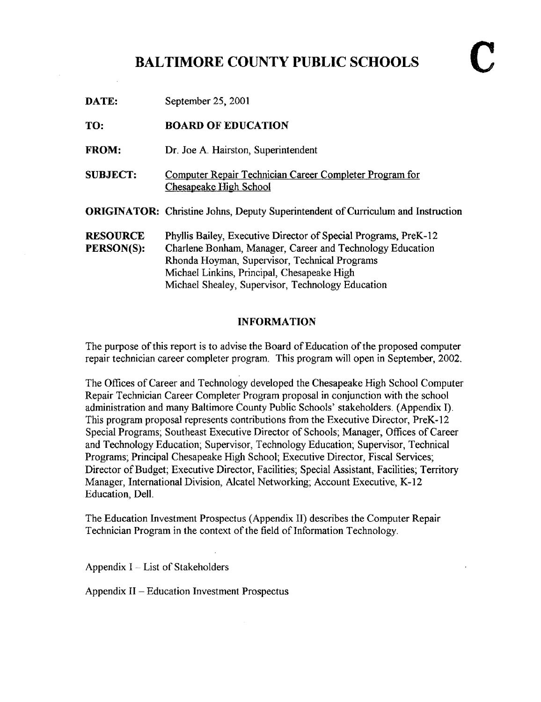### BALTIMORE COUNTY PUBLIC SCHOOLS

| DATE:                         | September 25, 2001                                                                                                                                                                                                                                                                |
|-------------------------------|-----------------------------------------------------------------------------------------------------------------------------------------------------------------------------------------------------------------------------------------------------------------------------------|
| TO:                           | <b>BOARD OF EDUCATION</b>                                                                                                                                                                                                                                                         |
| <b>FROM:</b>                  | Dr. Joe A. Hairston, Superintendent                                                                                                                                                                                                                                               |
| <b>SUBJECT:</b>               | Computer Repair Technician Career Completer Program for<br><b>Chesapeake High School</b>                                                                                                                                                                                          |
|                               | <b>ORIGINATOR:</b> Christine Johns, Deputy Superintendent of Curriculum and Instruction                                                                                                                                                                                           |
| <b>RESOURCE</b><br>PERSON(S): | Phyllis Bailey, Executive Director of Special Programs, PreK-12<br>Charlene Bonham, Manager, Career and Technology Education<br>Rhonda Hoyman, Supervisor, Technical Programs<br>Michael Linkins, Principal, Chesapeake High<br>Michael Shealey, Supervisor, Technology Education |

#### INFORMATION

The purpose of this report is to advise the Board of Education of the proposed computer repair technician career completer program. This program will open in September, 2002.

The Offices of Career and Technology developed the Chesapeake High School Computer Repair Technician Career Completer Program proposal in conjunction with the school administration and many Baltimore County Public Schools' stakeholders . (Appendix I) . This program proposal represents contributions from the Executive Director, PreK-12 Special Programs; Southeast Executive Director of Schools; Manager, Offices of Career and Technology Education; Supervisor, Technology Education; Supervisor, Technical Programs; Principal Chesapeake High School; Executive Director, Fiscal Services; Director of Budget; Executive Director, Facilities; Special Assistant, Facilities; Territory Manager, International Division, Alcatel Networking; Account Executive, K-12 Education, Dell.

The Education Investment Prospectus (Appendix 11) describes the Computer Repair Technician Program in the context of the field of Information Technology.

Appendix  $I - List$  of Stakeholders

Appendix <sup>11</sup> - Education Investment Prospectus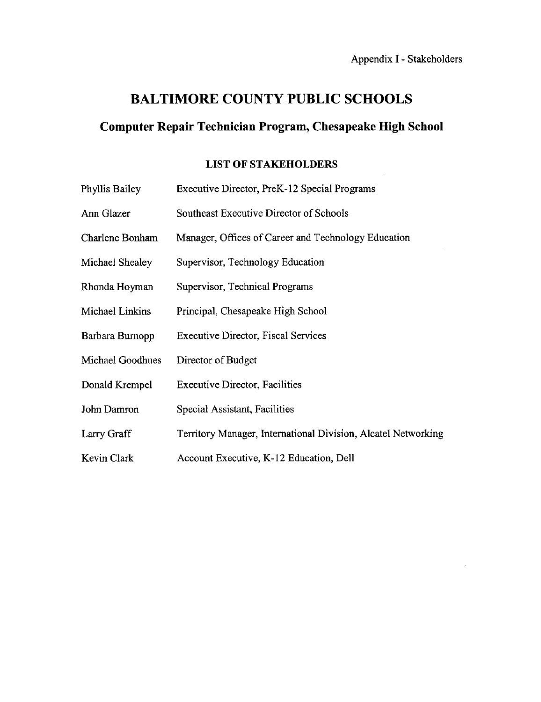ř.

 $\bar{z}$ 

## BALTIMORE COUNTY PUBLIC SCHOOLS

## Computer Repair Technician Program, Chesapeake High School

### LIST OF STAKEHOLDERS

| Phyllis Bailey   | Executive Director, PreK-12 Special Programs                  |
|------------------|---------------------------------------------------------------|
| Ann Glazer       | Southeast Executive Director of Schools                       |
| Charlene Bonham  | Manager, Offices of Career and Technology Education           |
| Michael Shealey  | Supervisor, Technology Education                              |
| Rhonda Hoyman    | Supervisor, Technical Programs                                |
| Michael Linkins  | Principal, Chesapeake High School                             |
| Barbara Burnopp  | <b>Executive Director, Fiscal Services</b>                    |
| Michael Goodhues | Director of Budget                                            |
| Donald Krempel   | <b>Executive Director, Facilities</b>                         |
| John Damron      | Special Assistant, Facilities                                 |
| Larry Graff      | Territory Manager, International Division, Alcatel Networking |
| Kevin Clark      | Account Executive, K-12 Education, Dell                       |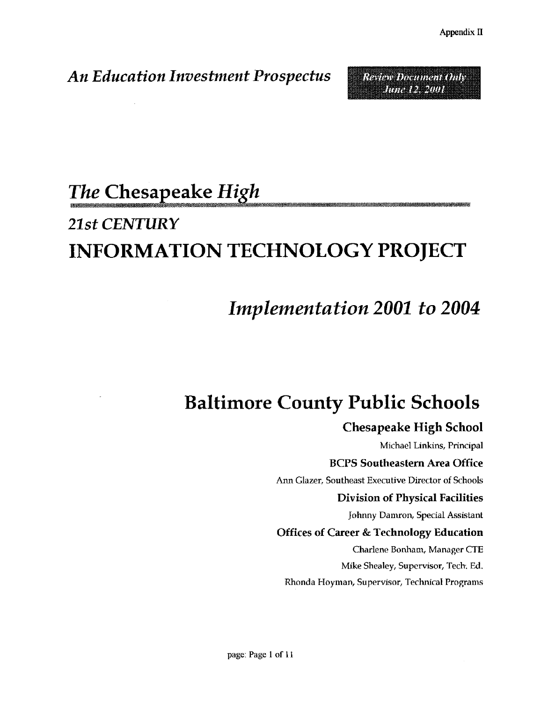Review Draument Only **MARLES MA** 

# An Education Investment Prospectus

# The Chesapeake High

# 21st CEN7URY INFORMATION TECHNOLOGY PROJECT

# Implementation 2001 to 2004

# Baltimore County Public Schools

# Chesapeake High School

Michael Linkins, Principal BOPS Southeastern Area Office Ann Glazer, Southeast Executive Director of Schools Division of Physical Facilities Johnny Damron, Special Assistant Offices of Career & Technology Education Charlene Bonham, Manager CTE Mike Shealey, Supervisor, Tech. Ed.

Rhonda Hoyman, Supervisor, Technical Programs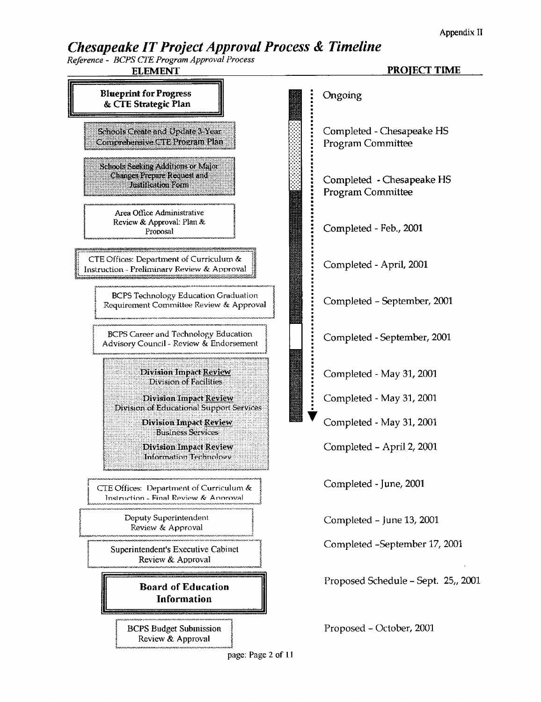Appendix <sup>11</sup>

### Chesapeake IT Project Approval Process & Timeline

Reference - BOPS CTE Program Approval Process

ELEMENT

#### PROJECT TIME

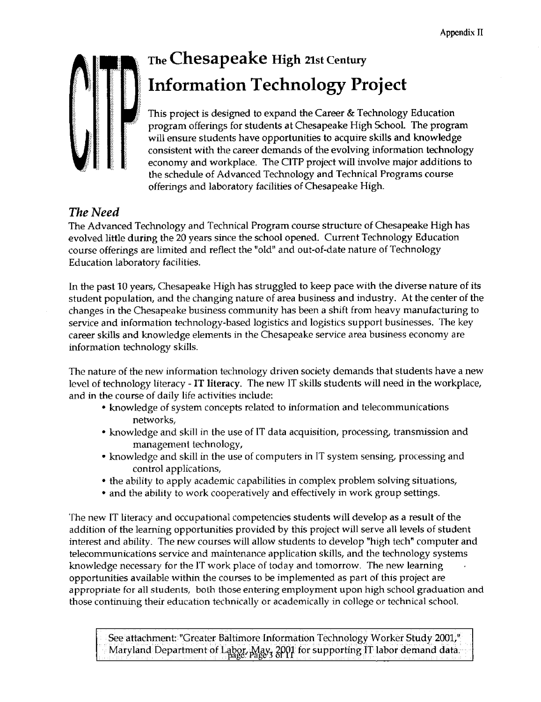

# The Chesapeake High 21st Century Information Technology Project

This project is designed to expand the Career & Technology Education program offerings for students at Chesapeake High School. The program will ensure students have opportunities to acquire skills and knowledge consistent with the career demands of the evolving information technology economy and workplace. The CITP project will involve major additions to the schedule of Advanced Technology and Technical Programs course offerings and laboratory facilities of Chesapeake High.

### The Need

The Advanced Technology and Technical Program course structure of Chesapeake High has evolved little during the 20 years since the school opened. Current Technology Education course offerings are limited and reflect the "old" and out-of-date nature of Technology Education laboratory facilities .

In the past 10 years, Chesapeake High has struggled to keep pace with the diverse nature of its student population, and the changing nature of area business and industry. At the center of the changes in the Chesapeake business community has been a shift from heavy manufacturing to service and information technology-based logistics and logistics support businesses . The key career skills and knowledge elements in the Chesapeake service area business economy are information technology skills.

The nature of the new information technology driven society demands that students have <sup>a</sup> new level of technology literacy - IT literacy. The new IT skills students will need in the workplace, and in the course of daily life activities include :

- " knowledge of system concepts related to information and telecommunications networks,
- knowledge and skill in the use of IT data acquisition, processing, transmission and management technology,
- " knowledge and skill in the use of computers in IT system sensing, processing and control applications,
- " the ability to apply academic capabilities in complex problem solving situations,
- " and the ability to work cooperatively and effectively in work group settings.

The new IT literacy and occupational competencies students will develop as <sup>a</sup> result of the addition of the learning opportunities provided by this project will serve all levels of student interest and ability. The new courses will allow students to develop "high tech" computer and telecommunications service and maintenance application skills, and the technology systems knowledge necessary for the IT work place of today and tomorrow . The new learning opportunities available within the courses to be implemented as part of this project are appropriate for all students, both those entering employment upon high school graduation and those continuing their education technically or academically in college or technical school.

See attachment: "Greater Baltimore Information Technology Worker Study 2001," Maryland Department of Labor, May 2001 for supporting IT labor demand data.<br>Page: Page 3 of IT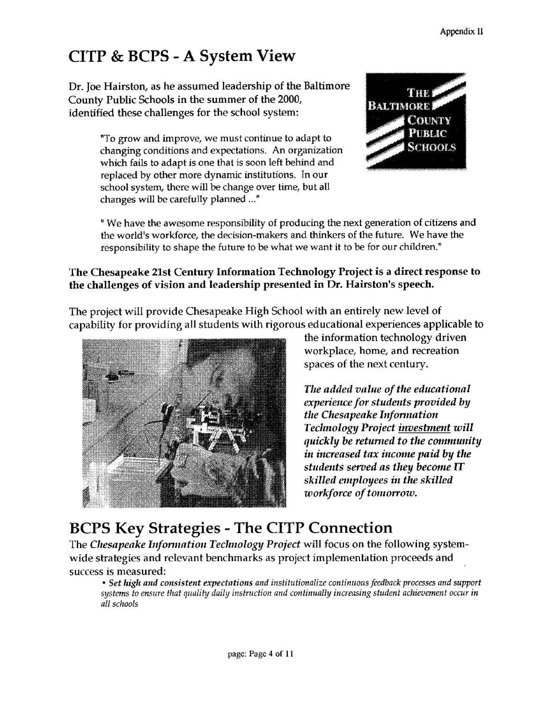# CITP & BCPS - A System View

Dr. Joe Hairston, as he assumed leadership of the Baltimore County Public Schools in the summer of the 2000, identified these challenges for the school system:

> "To grow and improve, we must continue to adapt to changing conditions and expectations . An organization which fails to adapt is one that is soon left behind and replaced by other more dynamic institutions. In our school system, there will be change over time, but all changes will be carefully planned ..."



" We have the awesome responsibility of producing the next generation of citizens and the world's workforce, the decision-makers and thinkers of the future. We have the responsibility to shape the future to be what we want it to be for our children ."

### The Chesapeake 21st Century Information Technology Project is a direct response to the challenges of vision and leadership presented in Dr. Hairston's speech.

The project will provide Chesapeake High School with an entirely new level of capability for providing all students with rigorous educational experiences applicable to



the information technology driven workplace, home, and recreation spaces of the next century.

The added value of the educational experience for students provided by the Chesapeake Information Technology Project investment will quickly be returned to the community in increased tax income paid by the students served as they become IT skilled employees in the skilled workforce of tomorrow.

# BCPS Key Strategies - The CITP Connection

The Chesapeake Information Technology Project will focus on the following systemwide strategies and relevant benchmarks as project implementation proceeds and success is measured:

" Set high and consistent expectations and institutionalize continuous feedback processes and support systems to ensure that quality daily instruction and continually increasing student achievement occur in all schools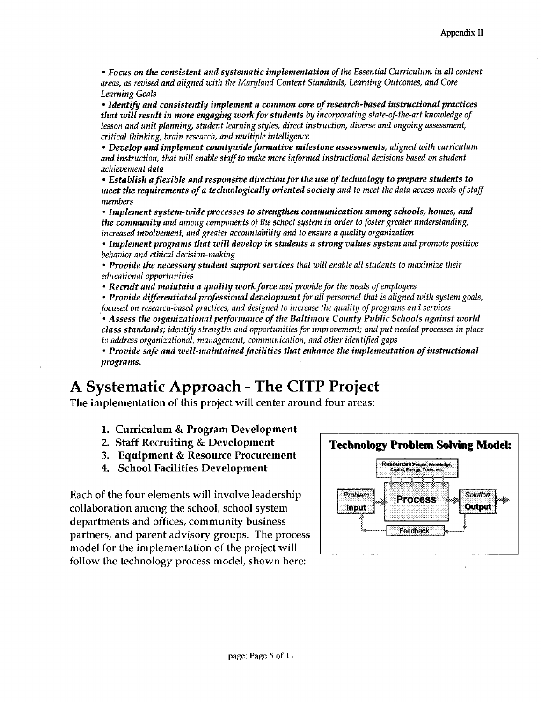• Focus on the consistent and systematic implementation of the Essential Curriculum in all content areas, as revised and aligned with the Maryland Content Standards, Learning Outcomes, and Core Learning Goals

. Identify and consistently implement a common core of research-based instructional practices that will result in more engaging work for students by incorporating state-of-the-art knowledge of lesson and unit planning, student learning styles, direct instruction, diverse and ongoing assessment, critical thinking, brain research, and multiple intelligence

" Develop and implement countywide formative milestone assessments, aligned with curriculum and instruction, that will enable staff to make more informed instructional decisions based on student achievement data

• Establish a flexible and responsive direction for the use of technology to prepare students to meet the requirements of a technologically oriented society and to meet the data access needs of staff members

" Implement system-wide processes to strengthen communication among schools, homes, and the community and among components of the school system in order to foster greater understanding, increased involvement, and greater accountability and to ensure a quality organization

" Implement programs that will develop in students a strong values system and promote positive behavior and ethical decision-making

" Provide the necessary student support services that will enable all students to maximize their educational opportunities

• Recruit and maintain a quality work force and provide for the needs of employees

" Provide differentiated professional development for all personnel that is aligned with system goals, focused on research-based practices, and designed to increase the quality of programs and services

" Assess the organizational performance of the Baltimore County Public Schools against world class standards; identify strengths and opportunities for improvement, and put needed processes in place to address organizational, management, communication, and other identified gaps

• Provide safe and well-maintained facilities that enhance the implementation of instructional programs.

# A Systematic Approach - The CITP Project

The implementation of this project will center around four areas:

- 1. Curriculum & Program Development
- 2. Staff Recruiting & Development
- 3. Equipment & Resource Procurement
- 4. School Facilities Development

Each of the four elements will involve leadership collaboration among the school, school system departments and offices, community business partners, and parent advisory groups. The process model for the implementation of the project will follow the technology process model, shown here:

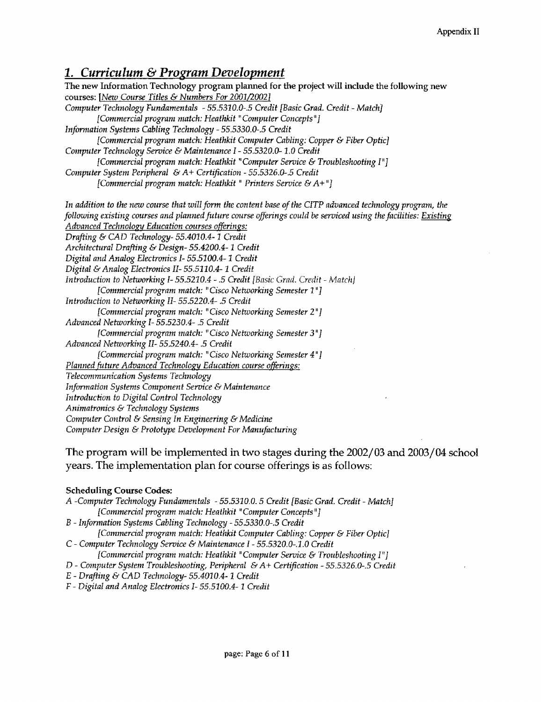### 1. Curriculum & Program Development

The new Information Technology program planned for the project will include the following new courses: [New Course Titles & Numbers For 2001/2002] Computer Technology Fundamentals - 55.5310.0-.5 Credit [Basic Grad. Credit - Match] [Commercial program match: Heathkit "Computer Concepts"] Information Systems Cabling Technology - 55.5330.0- .5 Credit [Commercial program match: Heathkit Computer Cabling: Copper & Fiber Optic] Computer Technology Service & Maintenance <sup>I</sup> - 55.5320.0- <sup>1</sup> .0 Credit [Commercial program match: Heathkit "Computer Service & Troubleshooting I"] Computer System Peripheral &A+ Certification - 55.5326.0-.5 Credit [Commercial program match: Heathkit " Printers Service & A+"] In addition to the new course that will form the content base of the CITP advanced technology program, the following existing courses and planned future course offerings could be serviced using the facilities: Existing Advanced Technology Education courses offerings: Drafting & CAD Technology- 55.4010.4-1 Credit Architectural Drafting & Design-55 .4200.4- <sup>1</sup> Credit Digital and Analog Electronics I- 55.5100.4-1 Credit Digital &Analog Electronics II- <sup>55</sup> .5110.4- <sup>1</sup> Credit Introduction to Networking I-55.5210.4 - .5 Credit [Basic Grad. Credit - Match] [Commercial program match: "Cisco Networking Semester <sup>1</sup> "1 Introduction to Networking II- 55.5220.4- .5 Credit [Commercial program match: "Cisco Networking Semester 2 "1 Advanced Networking I- 55.5230.4- .5 Credit [Commercial program match: "Cisco Networking Semester 3 "] Advanced Networking II- 55.5240.4- .5 Credit [Commercial program match: "Cisco Networking Semester 4 "1 Planned future Advanced Technology Education course offerings: Telecommunication Systems Technology Information Systems Component Service & Maintenance Introduction to Digital Control Technology Animatronics & Technology Systems Computer Control & Sensing In Engineering & Medicine Computer Design & Prototype Development For Manufacturing

The program will be implemented in two stages during the 2002/03 and 2003/04 school years . The implementation plan for course offerings is as follows:

#### Scheduling Course Codes:

A -Computer Technology Fundamentals - 55.5310.0 . 5 Credit [Basic Grad, Credit - Match] [Commercial program match: Heathkit "Computer Concepts"] B - Information Systems Cabling Technology - 55.5330.0- .5 Credit [Commercial program match: Heathkit Computer Cabling: Copper & Fiber Optic) C - Computer Technology Service & Maintenance <sup>I</sup> - 55.5320.0- .1 . 0 Credit [Commercial program match: Heathkit "Computer Service & Troubleshooting I"] D - Computer System Troubleshooting, Peripheral &A+ Certification - 55.5326.0-.5 Credit <sup>E</sup> - Drafting & CAD Technology- 55.4010.4-1 Credit

F - Digital and Analog Electronics I- 55.5100.4- <sup>1</sup> Credit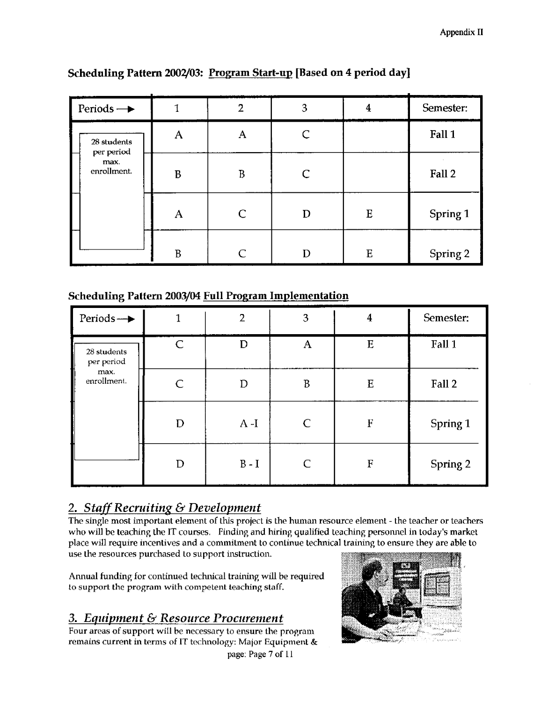| Periods $\rightarrow$             | $\mathbf{1}$ | $\overline{2}$ | 3            | $\boldsymbol{4}$ | Semester: |
|-----------------------------------|--------------|----------------|--------------|------------------|-----------|
| 28 students                       | $\mathbf{A}$ | $\mathbf{A}$   | $\mathsf{C}$ |                  | Fall 1    |
| per period<br>max.<br>enrollment. | $\bf{B}$     | $\rm B$        | $\mathsf{C}$ |                  | Fall 2    |
|                                   | A            | $\mathsf{C}$   | D            | ${\bf E}$        | Spring 1  |
|                                   | $\mathbf{B}$ | $\overline{C}$ | D            | E                | Spring 2  |

### Scheduling Pattern 2002/03: Program Start-up [Based on 4 period day]

### Scheduling Pattern 2003/04 Full Program Implementation

| Periods $\rightarrow$     | 1 | 2       | 3 | $\overline{4}$ | Semester: |
|---------------------------|---|---------|---|----------------|-----------|
| 28 students<br>per period | C | D       | A | E              | Fall 1    |
| max.<br>enrollment.       | C | D       | B | E              | Fall 2    |
|                           | D | $A-I$   |   | F              | Spring 1  |
|                           | D | $B - I$ |   | F              | Spring 2  |

### 2. Staff Recruiting & Development

The single most important element of this project is the human resource element - the teacher or teachers who will be teaching the IT courses. Finding and hiring qualified teaching personnel in today's market place will require incentives and a commitment to continue technical training to ensure they are able to use the resources purchased to support instruction.

Annual funding for continued technical training will be required to support the program with competent teaching staff.

### 3. Equipment & Resource Procurement

Four areas of support will be necessary to ensure the program remains current in terms of IT technology: Major Equipment  $\&$ page: Page 7 of 11

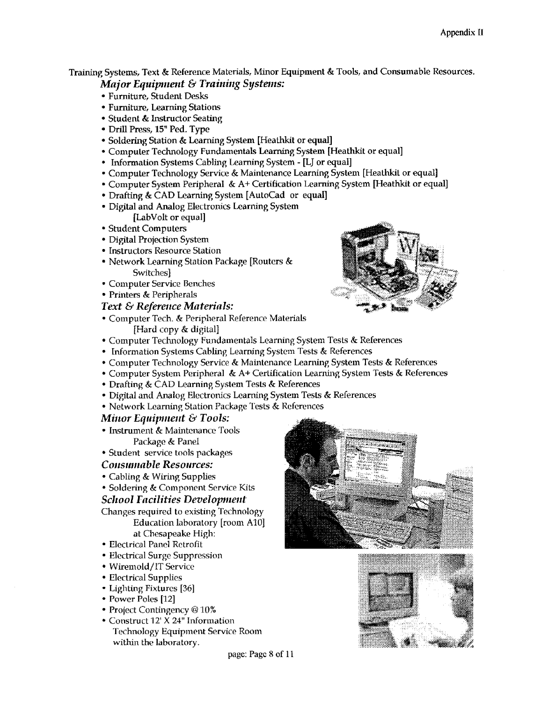Training Systems, Text & Reference Materials, Minor Equipment & Tools, and Consumable Resources. Major Equipment & Training Systems:

- " Furniture, Student Desks
- " Furniture, Learning Stations
- Student & Instructor Seating
- " Drill Press, 15" Ped. Type
- " Soldering Station &Learning System [Heathkit or equal]
- " Computer Technology Fundamentals Learning System [Heathkit or equal]
- Information Systems Cabling Learning System [LJ or equal]
- " Computer Technology Service & Maintenance Learning System [Heathkit or equal]
- " Computer System Peripheral & A+ Certification Learning System [Heathkit or equal]
- Drafting & CAD Learning System [AutoCad or equal]
- " Digital and Analog Electronics Learning System
- [LabVolt or equal]
- " Student Computers
- " Digital Projection System
- " Instructors Resource Station
- " Network Learning Station Package [Routers & Switches]
- " Computer Service Benches
- Printers & Peripherals
- Text & Reference Materials:
- " Computer Tech. & Peripheral Reference Materials [Hard copy & digital]



- Information Systems Cabling Learning System Tests & References
- " Computer Technology Service & Maintenance Learning System Tests & References
- Computer System Peripheral & A+ Certification Learning System Tests & References
- Drafting & CAD Learning System Tests & References
- " Digital and Analog Electronics Learning System Tests & References
- " Network Learning Station Package Tests & References

#### Minor Equipment & Tools:

- Instrument & Maintenance Tools Package & Panel
- " Student service tools packages

#### Consumable Resources:

- " Cabling & Wiring Supplies
- " Soldering & Component Service Kits

#### School Facilities Development

Changes required to existing Technology Education laboratory [room A10] at Chesapeake High:

- " Electrical Panel Retrofit
- " Electrical Surge Suppression
- " Wiremold/IT Service
- " Electrical Supplies
- Lighting Fixtures [36]
- Power Poles [12]
- Project Contingency @ 10%
- " Construct 12'X 24" Information Technology Equipment Service Room within the laboratory.





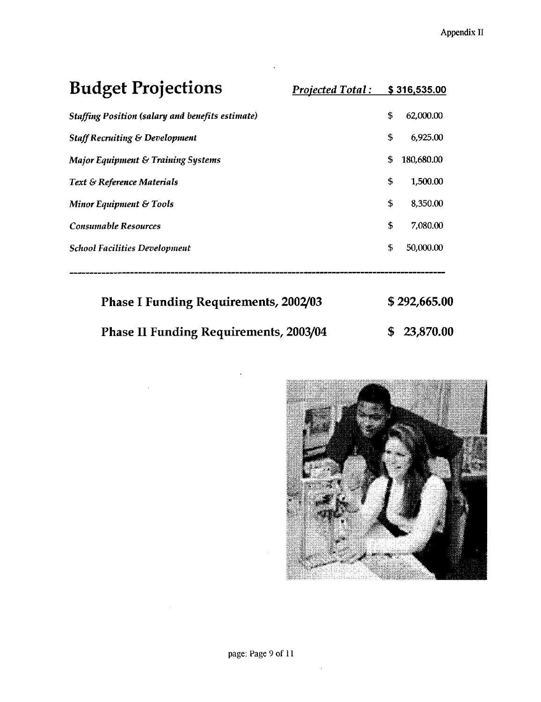| <b>Budget Projections</b>                               | <b>Projected Total:</b> |    | \$316,535.00 |
|---------------------------------------------------------|-------------------------|----|--------------|
| <b>Staffing Position (salary and benefits estimate)</b> |                         | \$ | 62,000.00    |
| <b>Staff Recruiting &amp; Development</b>               |                         | \$ | 6,925,00     |
| Major Equipment & Training Systems                      |                         | S. | 180,680.00   |
| <b>Text &amp; Reference Materials</b>                   |                         | \$ | 1,500.00     |
| Minor Equipment & Tools                                 |                         | \$ | 8,350.00     |
| <b>Consumable Resources</b>                             |                         | \$ | 7,080.00     |
| <b>School Facilities Development</b>                    |                         | \$ | 50,000.00    |
|                                                         |                         |    |              |

| <b>Phase I Funding Requirements, 2002/03</b>  | \$292,665.00 |
|-----------------------------------------------|--------------|
| <b>Phase II Funding Requirements, 2003/04</b> | \$23,870.00  |

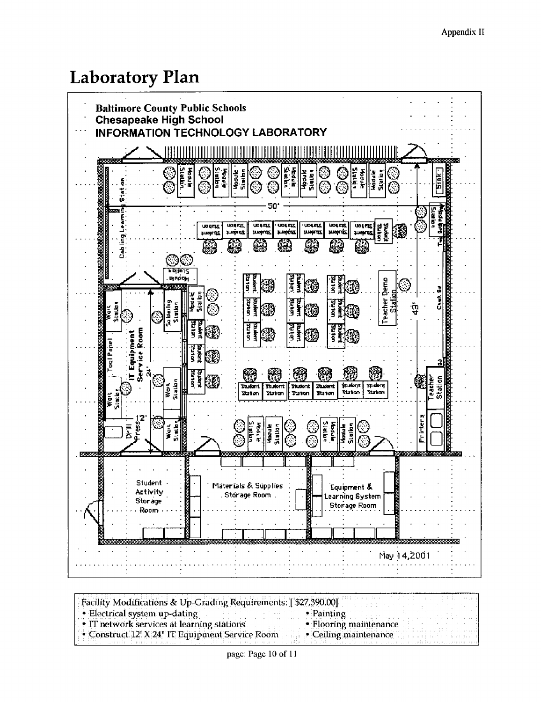# Laboratory Plan



Facility Modifications & Up-Grading Requirements: [ \$27,390.00]<br>• Electrical system up-dating - Electrical system up-dating<br>
• IT network services at learning stations<br>
• Flooring maintenance • IT network services at learning stations. • Flooring maintenance • Construct 12' X 24" IT Equipment Service Room • Ceiling maintenance • Construct 12' X 24" IT Equipment Service Room